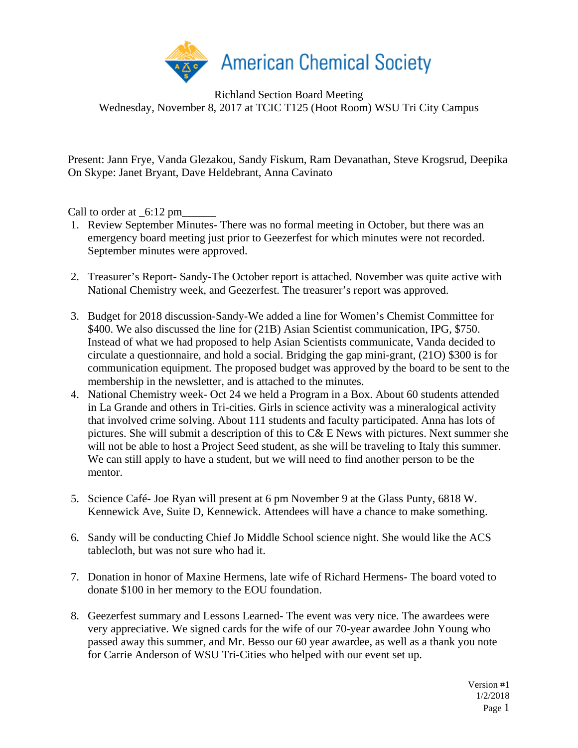

Richland Section Board Meeting Wednesday, November 8, 2017 at TCIC T125 (Hoot Room) WSU Tri City Campus

Present: Jann Frye, Vanda Glezakou, Sandy Fiskum, Ram Devanathan, Steve Krogsrud, Deepika On Skype: Janet Bryant, Dave Heldebrant, Anna Cavinato

Call to order at  $-6:12 \text{ pm}$ 

- 1. Review September Minutes- There was no formal meeting in October, but there was an emergency board meeting just prior to Geezerfest for which minutes were not recorded. September minutes were approved.
- 2. Treasurer's Report- Sandy-The October report is attached. November was quite active with National Chemistry week, and Geezerfest. The treasurer's report was approved.
- 3. Budget for 2018 discussion-Sandy-We added a line for Women's Chemist Committee for \$400. We also discussed the line for (21B) Asian Scientist communication, IPG, \$750. Instead of what we had proposed to help Asian Scientists communicate, Vanda decided to circulate a questionnaire, and hold a social. Bridging the gap mini-grant, (21O) \$300 is for communication equipment. The proposed budget was approved by the board to be sent to the membership in the newsletter, and is attached to the minutes.
- 4. National Chemistry week- Oct 24 we held a Program in a Box. About 60 students attended in La Grande and others in Tri-cities. Girls in science activity was a mineralogical activity that involved crime solving. About 111 students and faculty participated. Anna has lots of pictures. She will submit a description of this to C& E News with pictures. Next summer she will not be able to host a Project Seed student, as she will be traveling to Italy this summer. We can still apply to have a student, but we will need to find another person to be the mentor.
- 5. Science Café- Joe Ryan will present at 6 pm November 9 at the Glass Punty, 6818 W. Kennewick Ave, Suite D, Kennewick. Attendees will have a chance to make something.
- 6. Sandy will be conducting Chief Jo Middle School science night. She would like the ACS tablecloth, but was not sure who had it.
- 7. Donation in honor of Maxine Hermens, late wife of Richard Hermens- The board voted to donate \$100 in her memory to the EOU foundation.
- 8. Geezerfest summary and Lessons Learned- The event was very nice. The awardees were very appreciative. We signed cards for the wife of our 70-year awardee John Young who passed away this summer, and Mr. Besso our 60 year awardee, as well as a thank you note for Carrie Anderson of WSU Tri-Cities who helped with our event set up.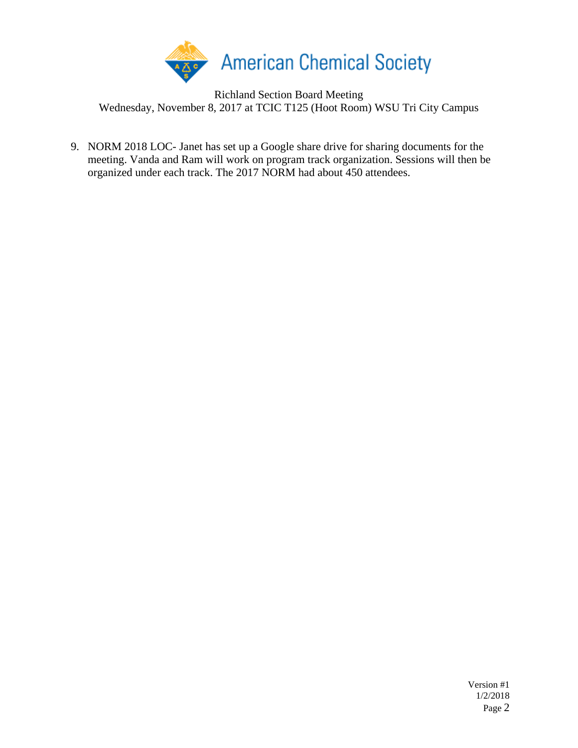

Richland Section Board Meeting Wednesday, November 8, 2017 at TCIC T125 (Hoot Room) WSU Tri City Campus

9. NORM 2018 LOC- Janet has set up a Google share drive for sharing documents for the meeting. Vanda and Ram will work on program track organization. Sessions will then be organized under each track. The 2017 NORM had about 450 attendees.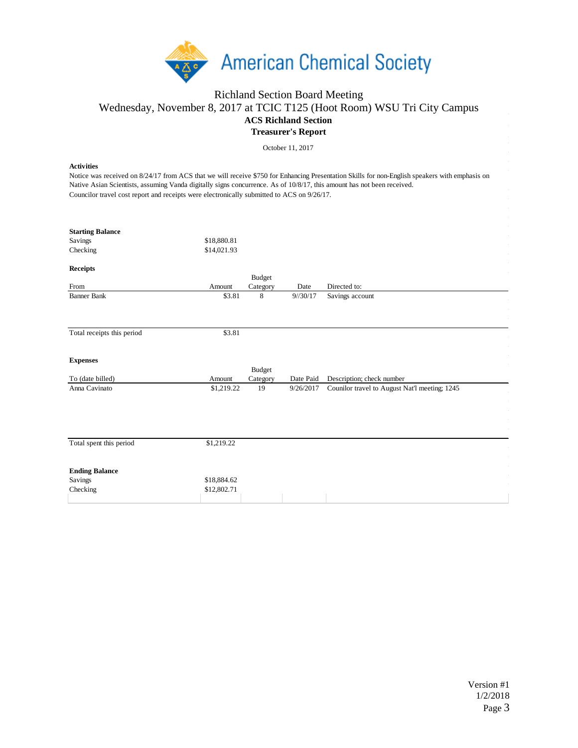

## Richland Section Board Meeting Wednesday, November 8, 2017 at TCIC T125 (Hoot Room) WSU Tri City Campus **ACS Richland Section Treasurer's Report**

October 11, 2017

## **Activities**

Notice was received on 8/24/17 from ACS that we will receive \$750 for Enhancing Presentation Skills for non-English speakers with emphasis on Native Asian Scientists, assuming Vanda digitally signs concurrence. As of 10/8/17, this amount has not been received. Councilor travel cost report and receipts were electronically submitted to ACS on 9/26/17.

| <b>Starting Balance</b>    |             |          |           |                                               |
|----------------------------|-------------|----------|-----------|-----------------------------------------------|
| Savings                    | \$18,880.81 |          |           |                                               |
| Checking                   | \$14,021.93 |          |           |                                               |
|                            |             |          |           |                                               |
| <b>Receipts</b>            |             |          |           |                                               |
|                            |             | Budget   |           |                                               |
| From                       | Amount      | Category | Date      | Directed to:                                  |
| <b>Banner Bank</b>         | \$3.81      | 8        | 9/30/17   | Savings account                               |
|                            |             |          |           |                                               |
|                            |             |          |           |                                               |
| Total receipts this period | \$3.81      |          |           |                                               |
|                            |             |          |           |                                               |
|                            |             |          |           |                                               |
| <b>Expenses</b>            |             |          |           |                                               |
|                            |             | Budget   |           |                                               |
| To (date billed)           | Amount      | Category | Date Paid | Description; check number                     |
| Anna Cavinato              | \$1,219.22  | 19       | 9/26/2017 | Counilor travel to August Nat'l meeting; 1245 |
|                            |             |          |           |                                               |
|                            |             |          |           |                                               |
|                            |             |          |           |                                               |
|                            |             |          |           |                                               |
|                            |             |          |           |                                               |
| Total spent this period    | \$1,219.22  |          |           |                                               |
|                            |             |          |           |                                               |
| <b>Ending Balance</b>      |             |          |           |                                               |
| Savings                    | \$18,884.62 |          |           |                                               |
| Checking                   | \$12,802.71 |          |           |                                               |
|                            |             |          |           |                                               |
|                            |             |          |           |                                               |